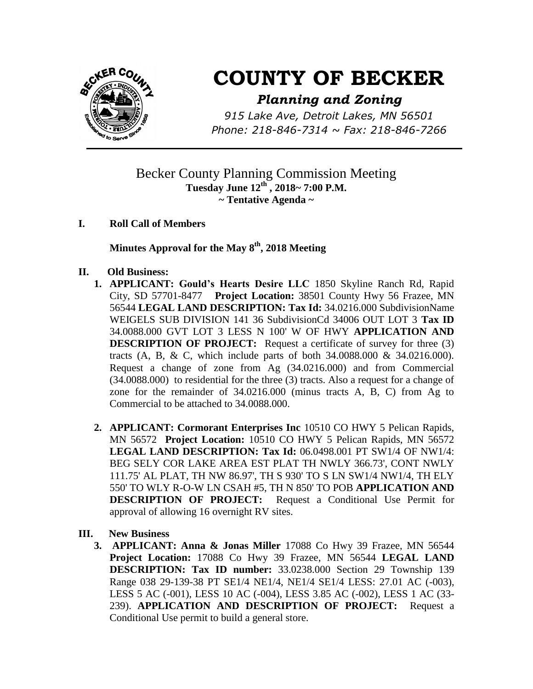

## **COUNTY OF BECKER**

## *Planning and Zoning*

*915 Lake Ave, Detroit Lakes, MN 56501 Phone: 218-846-7314 ~ Fax: 218-846-7266*

## Becker County Planning Commission Meeting **Tuesday June 12th , 2018~ 7:00 P.M. ~ Tentative Agenda ~**

**I. Roll Call of Members**

**Minutes Approval for the May 8 th , 2018 Meeting**

- **II. Old Business:** 
	- **1. APPLICANT: Gould's Hearts Desire LLC** 1850 Skyline Ranch Rd, Rapid City, SD 57701-8477 **Project Location:** 38501 County Hwy 56 Frazee, MN 56544 **LEGAL LAND DESCRIPTION: Tax Id:** 34.0216.000 SubdivisionName WEIGELS SUB DIVISION 141 36 SubdivisionCd 34006 OUT LOT 3 **Tax ID** 34.0088.000 GVT LOT 3 LESS N 100' W OF HWY **APPLICATION AND DESCRIPTION OF PROJECT:** Request a certificate of survey for three (3) tracts (A, B, & C, which include parts of both 34.0088.000 & 34.0216.000). Request a change of zone from Ag (34.0216.000) and from Commercial (34.0088.000) to residential for the three (3) tracts. Also a request for a change of zone for the remainder of 34.0216.000 (minus tracts A, B, C) from Ag to Commercial to be attached to 34.0088.000.
	- **2. APPLICANT: Cormorant Enterprises Inc** 10510 CO HWY 5 Pelican Rapids, MN 56572 **Project Location:** 10510 CO HWY 5 Pelican Rapids, MN 56572 **LEGAL LAND DESCRIPTION: Tax Id:** 06.0498.001 PT SW1/4 OF NW1/4: BEG SELY COR LAKE AREA EST PLAT TH NWLY 366.73', CONT NWLY 111.75' AL PLAT, TH NW 86.97', TH S 930' TO S LN SW1/4 NW1/4, TH ELY 550' TO WLY R-O-W LN CSAH #5, TH N 850' TO POB **APPLICATION AND DESCRIPTION OF PROJECT:** Request a Conditional Use Permit for approval of allowing 16 overnight RV sites.
- **III. New Business**
	- **3. APPLICANT: Anna & Jonas Miller** 17088 Co Hwy 39 Frazee, MN 56544 **Project Location:** 17088 Co Hwy 39 Frazee, MN 56544 **LEGAL LAND DESCRIPTION: Tax ID number:** 33.0238.000 Section 29 Township 139 Range 038 29-139-38 PT SE1/4 NE1/4, NE1/4 SE1/4 LESS: 27.01 AC (-003), LESS 5 AC (-001), LESS 10 AC (-004), LESS 3.85 AC (-002), LESS 1 AC (33- 239). **APPLICATION AND DESCRIPTION OF PROJECT:** Request a Conditional Use permit to build a general store.